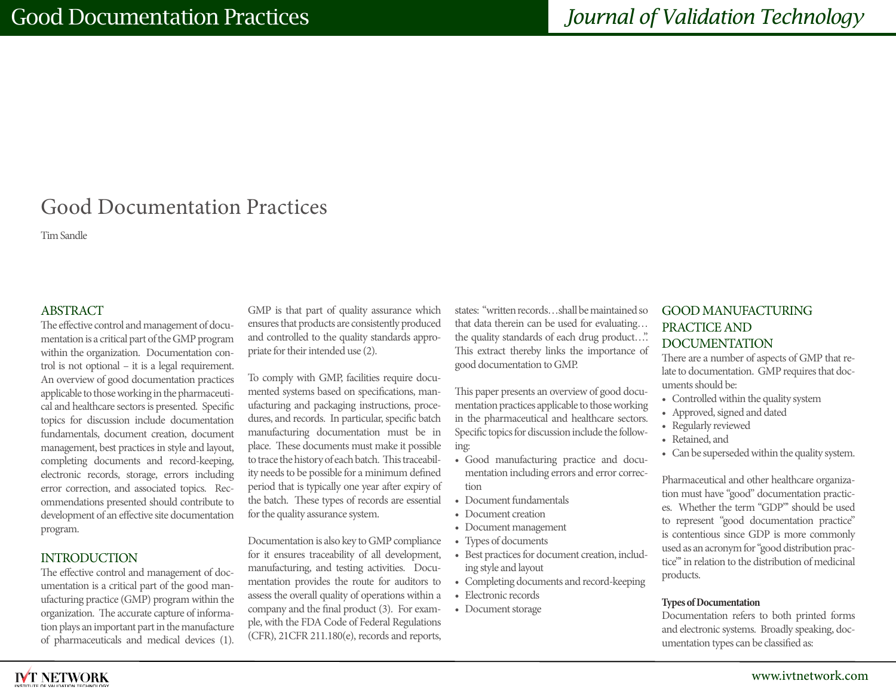# Good Documentation Practices

Tim Sandle

### ABSTRACT

The effective control and management of documentation is a critical part of the GMP program within the organization. Documentation control is not optional – it is a legal requirement. An overview of good documentation practices applicable to those working in the pharmaceutical and healthcare sectors is presented. Specific topics for discussion include documentation fundamentals, document creation, document management, best practices in style and layout, completing documents and record-keeping, electronic records, storage, errors including error correction, and associated topics. Recommendations presented should contribute to development of an effective site documentation program.

#### INTRODUCTION

The effective control and management of documentation is a critical part of the good manufacturing practice (GMP) program within the organization. The accurate capture of information plays an important part in the manufacture of pharmaceuticals and medical devices (1).

GMP is that part of quality assurance which ensures that products are consistently produced and controlled to the quality standards appropriate for their intended use (2).

To comply with GMP, facilities require documented systems based on specifications, manufacturing and packaging instructions, procedures, and records. In particular, specific batch manufacturing documentation must be in place. These documents must make it possible to trace the history of each batch. This traceability needs to be possible for a minimum defined period that is typically one year after expiry of the batch. These types of records are essential for the quality assurance system.

Documentation is also key to GMP compliance for it ensures traceability of all development, manufacturing, and testing activities. Documentation provides the route for auditors to assess the overall quality of operations within a company and the final product (3). For example, with the FDA Code of Federal Regulations (CFR), 21CFR 211.180(e), records and reports,

states: "written records…shall be maintained so that data therein can be used for evaluating… the quality standards of each drug product…". This extract thereby links the importance of good documentation to GMP.

This paper presents an overview of good documentation practices applicable to those working in the pharmaceutical and healthcare sectors. Specific topics for discussion include the following:

- Good manufacturing practice and documentation including errors and error correction
- Document fundamentals
- Document creation
- Document management
- Types of documents
- Best practices for document creation, including style and layout
- Completing documents and record-keeping
- Electronic records
- Document storage

# GOOD MANUFACTURING PRACTICE AND DOCUMENTATION

There are a number of aspects of GMP that relate to documentation. GMP requires that documents should be:

- Controlled within the quality system
- Approved, signed and dated
- Regularly reviewed
- Retained, and
- Can be superseded within the quality system.

Pharmaceutical and other healthcare organization must have "good" documentation practices. Whether the term "GDP"' should be used to represent "good documentation practice" is contentious since GDP is more commonly used as an acronym for "good distribution practice"' in relation to the distribution of medicinal products.

#### **Types of Documentation**

Documentation refers to both printed forms and electronic systems. Broadly speaking, documentation types can be classified as:

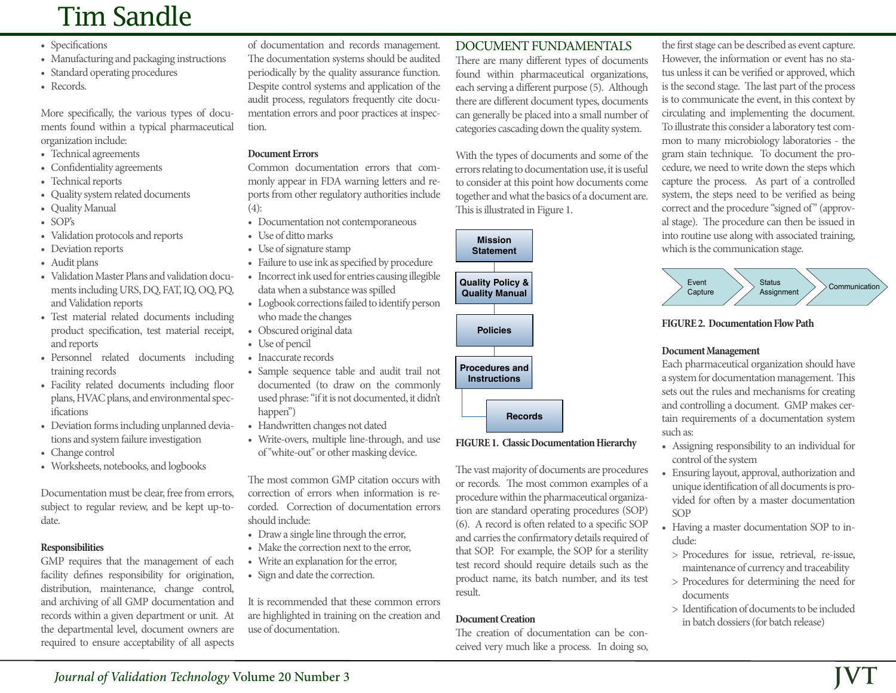# Tim Sandle

- Specifications
- Manufacturing and packaging instructions
- Standard operating procedures
- Records.

More specifically, the various types of documents found within a typical pharmaceutical organization include:

- Technical agreements
- Confidentiality agreements
- Technical reports
- Quality system related documents
- Quality Manual
- SOP's
- Validation protocols and reports
- Deviation reports
- Audit plans
- Validation Master Plans and validation documents including URS, DQ, FAT, IQ, OQ, PQ, and Validation reports
- Test material related documents including product specification, test material receipt, and reports
- Personnel related documents including training records
- Facility related documents including floor plans, HVAC plans, and environmental specifications
- Deviation forms including unplanned deviations and system failure investigation
- Change control
- Worksheets, notebooks, and logbooks

Documentation must be clear, free from errors, subject to regular review, and be kept up-todate.

# **Responsibilities**

GMP requires that the management of each facility defines responsibility for origination, distribution, maintenance, change control, and archiving of all GMP documentation and records within a given department or unit. At the departmental level, document owners are required to ensure acceptability of all aspects

of documentation and records management. The documentation systems should be audited periodically by the quality assurance function. Despite control systems and application of the audit process, regulators frequently cite documentation errors and poor practices at inspection.

#### **Document Errors**

Common documentation errors that commonly appear in FDA warning letters and reports from other regulatory authorities include (4):

- Documentation not contemporaneous
- Use of ditto marks
- Use of signature stamp
- Failure to use ink as specified by procedure
- Incorrect ink used for entries causing illegible data when a substance was spilled
- Logbook corrections failed to identify person who made the changes
- Obscured original data
- Use of pencil
- Inaccurate records
- Sample sequence table and audit trail not documented (to draw on the commonly used phrase: "if it is not documented, it didn't happen")
- Handwritten changes not dated
- Write-overs, multiple line-through, and use of "white-out" or other masking device.

The most common GMP citation occurs with correction of errors when information is recorded. Correction of documentation errors should include:

- Draw a single line through the error,
- Make the correction next to the error,
- Write an explanation for the error,
- Sign and date the correction.

It is recommended that these common errors are highlighted in training on the creation and use of documentation.

# DOCUMENT FUNDAMENTALS

There are many different types of documents found within pharmaceutical organizations, each serving a different purpose (5). Although there are different document types, documents can generally be placed into a small number of categories cascading down the quality system.

With the types of documents and some of the errors relating to documentation use, it is useful to consider at this point how documents come together and what the basics of a document are. This is illustrated in Figure 1.



### **FIGURE 1. Classic Documentation Hierarchy**

The vast majority of documents are procedures or records. The most common examples of a procedure within the pharmaceutical organization are standard operating procedures (SOP) (6). A record is often related to a specific SOP and carries the confirmatory details required of that SOP. For example, the SOP for a sterility test record should require details such as the product name, its batch number, and its test result.

### **Document Creation**

The creation of documentation can be conceived very much like a process. In doing so,

the first stage can be described as event capture. However, the information or event has no status unless it can be verified or approved, which is the second stage. The last part of the process is to communicate the event, in this context by circulating and implementing the document. To illustrate this consider a laboratory test common to many microbiology laboratories - the gram stain technique. To document the procedure, we need to write down the steps which capture the process. As part of a controlled system, the steps need to be verified as being correct and the procedure "signed of" (approval stage). The procedure can then be issued in into routine use along with associated training, which is the communication stage.



**FIGURE 2. Documentation Flow Path**

# **Document Management**

Each pharmaceutical organization should have a system for documentation management. This sets out the rules and mechanisms for creating and controlling a document. GMP makes certain requirements of a documentation system such as:

- Assigning responsibility to an individual for control of the system
- Ensuring layout, approval, authorization and unique identification of all documents is provided for often by a master documentation SOP
- Having a master documentation SOP to include:
	- > Procedures for issue, retrieval, re-issue, maintenance of currency and traceability
- > Procedures for determining the need for documents
- > Identification of documents to be included in batch dossiers (for batch release)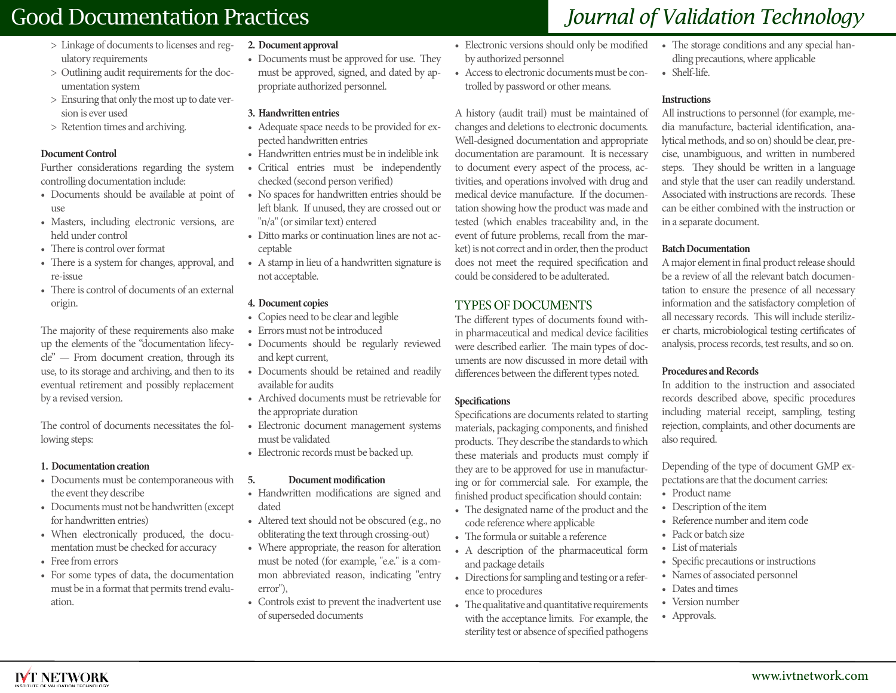# Good Documentation Practices *Journal of Validation Technology*

- > Linkage of documents to licenses and regulatory requirements
- > Outlining audit requirements for the documentation system
- > Ensuring that only the most up to date version is ever used
- > Retention times and archiving.

#### **Document Control**

Further considerations regarding the system controlling documentation include:

- use
- Masters, including electronic versions, are held under control
- There is control over format
- There is a system for changes, approval, and re-issue
- There is control of documents of an external origin.

The majority of these requirements also make up the elements of the "documentation lifecycle" — From document creation, through its use, to its storage and archiving, and then to its eventual retirement and possibly replacement by a revised version.

The control of documents necessitates the following steps:

#### **1. Documentation creation**

- Documents must be contemporaneous with the event they describe
- Documents must not be handwritten (except for handwritten entries)
- When electronically produced, the documentation must be checked for accuracy
- Free from errors

**IVT NETWORK** 

• For some types of data, the documentation must be in a format that permits trend evaluation.

#### **2. Document approval**

• Documents must be approved for use. They must be approved, signed, and dated by appropriate authorized personnel.

#### **3. Handwritten entries**

- Adequate space needs to be provided for expected handwritten entries
- Handwritten entries must be in indelible ink
- Critical entries must be independently checked (second person verified)
- Documents should be available at point of No spaces for handwritten entries should be left blank. If unused, they are crossed out or "n/a" (or similar text) entered
	- Ditto marks or continuation lines are not acceptable
	- A stamp in lieu of a handwritten signature is not acceptable.

#### **4. Document copies**

- Copies need to be clear and legible
- Errors must not be introduced
- Documents should be regularly reviewed and kept current,
- Documents should be retained and readily available for audits
- Archived documents must be retrievable for the appropriate duration
- Electronic document management systems must be validated
- Electronic records must be backed up.

#### **5. Document modification**

- Handwritten modifications are signed and dated
- Altered text should not be obscured (e.g., no obliterating the text through crossing-out)
- Where appropriate, the reason for alteration must be noted (for example, "e.e." is a common abbreviated reason, indicating "entry error"),
- Controls exist to prevent the inadvertent use of superseded documents
- Electronic versions should only be modified by authorized personnel
- Access to electronic documents must be controlled by password or other means.

A history (audit trail) must be maintained of changes and deletions to electronic documents. Well-designed documentation and appropriate documentation are paramount. It is necessary to document every aspect of the process, activities, and operations involved with drug and medical device manufacture. If the documentation showing how the product was made and tested (which enables traceability and, in the event of future problems, recall from the market) is not correct and in order, then the product does not meet the required specification and could be considered to be adulterated.

# TYPES OF DOCUMENTS

The different types of documents found within pharmaceutical and medical device facilities were described earlier. The main types of documents are now discussed in more detail with differences between the different types noted.

#### **Specifications**

Specifications are documents related to starting materials, packaging components, and finished products. They describe the standards to which these materials and products must comply if they are to be approved for use in manufacturing or for commercial sale. For example, the finished product specification should contain:

- The designated name of the product and the code reference where applicable
- The formula or suitable a reference
- A description of the pharmaceutical form and package details
- Directions for sampling and testing or a reference to procedures
- The qualitative and quantitative requirements with the acceptance limits. For example, the sterility test or absence of specified pathogens
- The storage conditions and any special handling precautions, where applicable
- Shelf-life.

#### **Instructions**

All instructions to personnel (for example, media manufacture, bacterial identification, analytical methods, and so on) should be clear, precise, unambiguous, and written in numbered steps. They should be written in a language and style that the user can readily understand. Associated with instructions are records. These can be either combined with the instruction or in a separate document.

#### **Batch Documentation**

A major element in final product release should be a review of all the relevant batch documentation to ensure the presence of all necessary information and the satisfactory completion of all necessary records. This will include sterilizer charts, microbiological testing certificates of analysis, process records, test results, and so on.

#### **Procedures and Records**

In addition to the instruction and associated records described above, specific procedures including material receipt, sampling, testing rejection, complaints, and other documents are also required.

Depending of the type of document GMP expectations are that the document carries:

- Product name
- Description of the item
- Reference number and item code
- Pack or batch size
- List of materials
- Specific precautions or instructions
- Names of associated personnel
- Dates and times
- Version number
- Approvals.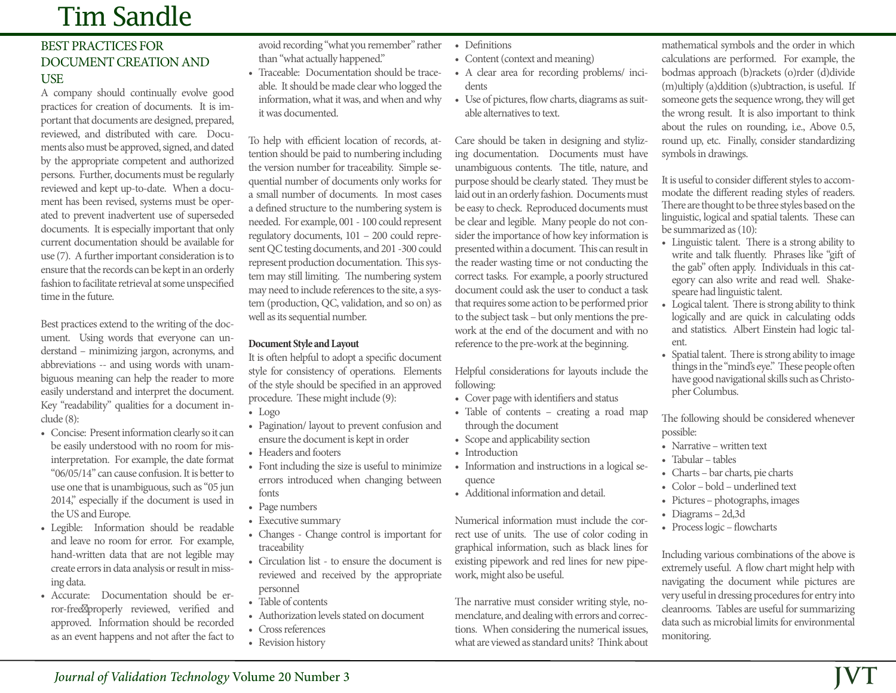# Tim Sandle

# BEST PRACTICES FOR DOCUMENT CREATION AND **USE**

A company should continually evolve good practices for creation of documents. It is important that documents are designed, prepared, reviewed, and distributed with care. Documents also must be approved, signed, and dated by the appropriate competent and authorized persons. Further, documents must be regularly reviewed and kept up-to-date. When a document has been revised, systems must be operated to prevent inadvertent use of superseded documents. It is especially important that only current documentation should be available for use (7). A further important consideration is to ensure that the records can be kept in an orderly fashion to facilitate retrieval at some unspecified time in the future.

Best practices extend to the writing of the document. Using words that everyone can understand – minimizing jargon, acronyms, and abbreviations -- and using words with unambiguous meaning can help the reader to more easily understand and interpret the document. Key "readability" qualities for a document include (8):

- Concise: Present information clearly so it can be easily understood with no room for misinterpretation. For example, the date format "06/05/14" can cause confusion. It is better to use one that is unambiguous, such as "05 jun 2014," especially if the document is used in the US and Europe.
- Legible: Information should be readable and leave no room for error. For example, hand-written data that are not legible may create errors in data analysis or result in missing data.
- Accurate: Documentation should be error-free properly reviewed, verified and approved. Information should be recorded as an event happens and not after the fact to

avoid recording "what you remember" rather than "what actually happened."

• Traceable: Documentation should be traceable. It should be made clear who logged the information, what it was, and when and why it was documented.

To help with efficient location of records, attention should be paid to numbering including the version number for traceability. Simple sequential number of documents only works for a small number of documents. In most cases a defined structure to the numbering system is needed. For example, 001 - 100 could represent regulatory documents, 101 – 200 could represent QC testing documents, and 201 -300 could represent production documentation. This system may still limiting. The numbering system may need to include references to the site, a system (production, QC, validation, and so on) as well as its sequential number.

### **Document Style and Layout**

It is often helpful to adopt a specific document style for consistency of operations. Elements of the style should be specified in an approved procedure. These might include (9):

- Logo
- Pagination/ layout to prevent confusion and ensure the document is kept in order
- Headers and footers
- Font including the size is useful to minimize errors introduced when changing between fonts
- Page numbers
- Executive summary
- Changes Change control is important for traceability
- Circulation list to ensure the document is reviewed and received by the appropriate personnel
- Table of contents
- Authorization levels stated on document
- Cross references
- Revision history
- Definitions
- Content (context and meaning)
- A clear area for recording problems/ incidents
- Use of pictures, flow charts, diagrams as suitable alternatives to text.

Care should be taken in designing and stylizing documentation. Documents must have unambiguous contents. The title, nature, and purpose should be clearly stated. They must be laid out in an orderly fashion. Documents must be easy to check. Reproduced documents must be clear and legible. Many people do not consider the importance of how key information is presented within a document. This can result in the reader wasting time or not conducting the correct tasks. For example, a poorly structured document could ask the user to conduct a task that requires some action to be performed prior to the subject task – but only mentions the prework at the end of the document and with no reference to the pre-work at the beginning.

Helpful considerations for layouts include the following:

- Cover page with identifiers and status
- Table of contents creating a road map through the document
- Scope and applicability section
- Introduction
- Information and instructions in a logical sequence
- Additional information and detail.

Numerical information must include the correct use of units. The use of color coding in graphical information, such as black lines for existing pipework and red lines for new pipework, might also be useful.

The narrative must consider writing style, nomenclature, and dealing with errors and corrections. When considering the numerical issues, what are viewed as standard units? Think about

mathematical symbols and the order in which calculations are performed. For example, the bodmas approach (b)rackets (o)rder (d)divide (m)ultiply (a)ddition (s)ubtraction, is useful. If someone gets the sequence wrong, they will get the wrong result. It is also important to think about the rules on rounding, i.e., Above 0.5, round up, etc. Finally, consider standardizing symbols in drawings.

It is useful to consider different styles to accommodate the different reading styles of readers. There are thought to be three styles based on the linguistic, logical and spatial talents. These can be summarized as (10):

- Linguistic talent. There is a strong ability to write and talk fluently. Phrases like "gift of the gab" often apply. Individuals in this category can also write and read well. Shakespeare had linguistic talent.
- Logical talent. There is strong ability to think logically and are quick in calculating odds and statistics. Albert Einstein had logic talent.
- Spatial talent. There is strong ability to image things in the "mind's eye." These people often have good navigational skills such as Christopher Columbus.

The following should be considered whenever possible:

- Narrative written text
- Tabular tables
- Charts bar charts, pie charts
- Color bold underlined text
- Pictures photographs, images
- Diagrams 2d,3d
- Process logic flowcharts

Including various combinations of the above is extremely useful. A flow chart might help with navigating the document while pictures are very useful in dressing procedures for entry into cleanrooms. Tables are useful for summarizing data such as microbial limits for environmental monitoring.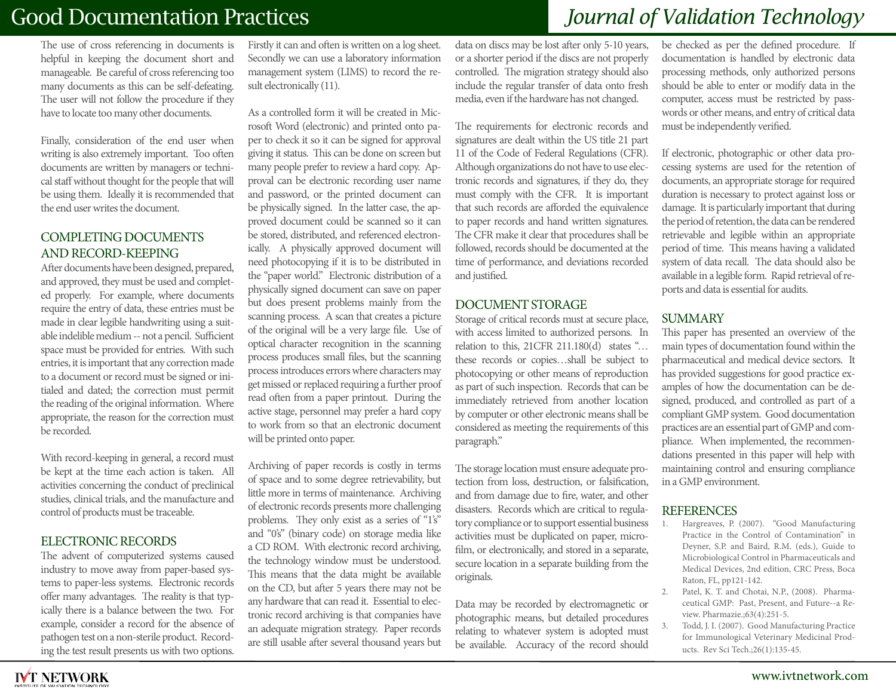# Good Documentation Practices *Journal of Validation Technology*

The use of cross referencing in documents is helpful in keeping the document short and manageable. Be careful of cross referencing too many documents as this can be self-defeating. The user will not follow the procedure if they have to locate too many other documents.

Finally, consideration of the end user when writing is also extremely important. Too often documents are written by managers or technical staff without thought for the people that will be using them. Ideally it is recommended that the end user writes the document.

# COMPLETING DOCUMENTS AND RECORD-KEEPING

After documents have been designed, prepared, and approved, they must be used and completed properly. For example, where documents require the entry of data, these entries must be made in clear legible handwriting using a suitable indelible medium -- not a pencil. Sufficient space must be provided for entries. With such entries, it is important that any correction made to a document or record must be signed or initialed and dated; the correction must permit the reading of the original information. Where appropriate, the reason for the correction must be recorded.

With record-keeping in general, a record must be kept at the time each action is taken. All activities concerning the conduct of preclinical studies, clinical trials, and the manufacture and control of products must be traceable.

#### ELECTRONIC RECORDS

The advent of computerized systems caused industry to move away from paper-based systems to paper-less systems. Electronic records offer many advantages. The reality is that typically there is a balance between the two. For example, consider a record for the absence of pathogen test on a non-sterile product. Recording the test result presents us with two options.

Firstly it can and often is written on a log sheet. Secondly we can use a laboratory information management system (LIMS) to record the result electronically (11).

As a controlled form it will be created in Microsoft Word (electronic) and printed onto paper to check it so it can be signed for approval giving it status. This can be done on screen but many people prefer to review a hard copy. Approval can be electronic recording user name and password, or the printed document can be physically signed. In the latter case, the approved document could be scanned so it can be stored, distributed, and referenced electronically. A physically approved document will need photocopying if it is to be distributed in the "paper world." Electronic distribution of a physically signed document can save on paper but does present problems mainly from the scanning process. A scan that creates a picture of the original will be a very large file. Use of optical character recognition in the scanning process produces small files, but the scanning process introduces errors where characters may get missed or replaced requiring a further proof read often from a paper printout. During the active stage, personnel may prefer a hard copy to work from so that an electronic document will be printed onto paper.

Archiving of paper records is costly in terms of space and to some degree retrievability, but little more in terms of maintenance. Archiving of electronic records presents more challenging problems. They only exist as a series of "1's" and "0's" (binary code) on storage media like a CD ROM. With electronic record archiving, the technology window must be understood. This means that the data might be available on the CD, but after 5 years there may not be any hardware that can read it. Essential to electronic record archiving is that companies have an adequate migration strategy. Paper records are still usable after several thousand years but

data on discs may be lost after only 5-10 years, or a shorter period if the discs are not properly controlled. The migration strategy should also include the regular transfer of data onto fresh media, even if the hardware has not changed.

The requirements for electronic records and signatures are dealt within the US title 21 part 11 of the Code of Federal Regulations (CFR). Although organizations do not have to use electronic records and signatures, if they do, they must comply with the CFR. It is important that such records are afforded the equivalence to paper records and hand written signatures. The CFR make it clear that procedures shall be followed, records should be documented at the time of performance, and deviations recorded and justified.

### DOCUMENT STORAGE

Storage of critical records must at secure place, with access limited to authorized persons. In relation to this, 21CFR 211.180(d) states "… these records or copies…shall be subject to photocopying or other means of reproduction as part of such inspection. Records that can be immediately retrieved from another location by computer or other electronic means shall be considered as meeting the requirements of this paragraph."

The storage location must ensure adequate protection from loss, destruction, or falsification, and from damage due to fire, water, and other disasters. Records which are critical to regulatory compliance or to support essential business activities must be duplicated on paper, microfilm, or electronically, and stored in a separate, secure location in a separate building from the originals.

Data may be recorded by electromagnetic or photographic means, but detailed procedures relating to whatever system is adopted must be available. Accuracy of the record should

be checked as per the defined procedure. If documentation is handled by electronic data processing methods, only authorized persons should be able to enter or modify data in the computer, access must be restricted by passwords or other means, and entry of critical data must be independently verified.

If electronic, photographic or other data processing systems are used for the retention of documents, an appropriate storage for required duration is necessary to protect against loss or damage. It is particularly important that during the period of retention, the data can be rendered retrievable and legible within an appropriate period of time. This means having a validated system of data recall. The data should also be available in a legible form. Rapid retrieval of reports and data is essential for audits.

### SUMMARY

This paper has presented an overview of the main types of documentation found within the pharmaceutical and medical device sectors. It has provided suggestions for good practice examples of how the documentation can be designed, produced, and controlled as part of a compliant GMP system. Good documentation practices are an essential part of GMP and compliance. When implemented, the recommendations presented in this paper will help with maintaining control and ensuring compliance in a GMP environment.

# **REFERENCES**

- 1. Hargreaves, P. (2007). "Good Manufacturing Practice in the Control of Contamination" in Deyner, S.P. and Baird, R.M. (eds.), Guide to Microbiological Control in Pharmaceuticals and Medical Devices, 2nd edition, CRC Press, Boca Raton, FL, pp121-142.
- 2. Patel, K. T. and Chotai, N.P., (2008). Pharmaceutical GMP: Past, Present, and Future--a Review. Pharmazie.;63(4):251-5.
- 3. Todd, J. I. (2007). Good Manufacturing Practice for Immunological Veterinary Medicinal Products. Rev Sci Tech.;26(1):135-45.